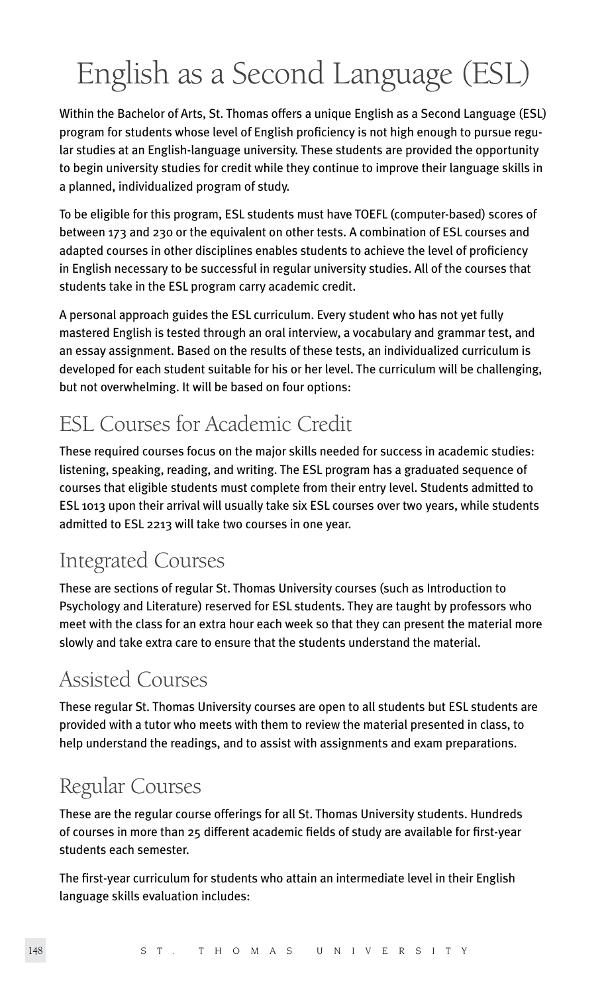# English as a Second Language (ESL)

Within the Bachelor of Arts, St. Thomas offers a unique English as a Second Language (ESL) program for students whose level of English proficiency is not high enough to pursue regular studies at an English-language university. These students are provided the opportunity to begin university studies for credit while they continue to improve their language skills in a planned, individualized program of study.

To be eligible for this program, ESL students must have TOEFL (computer-based) scores of between 173 and 230 or the equivalent on other tests. A combination of ESL courses and adapted courses in other disciplines enables students to achieve the level of proficiency in English necessary to be successful in regular university studies. All of the courses that students take in the ESL program carry academic credit.

A personal approach guides the ESL curriculum. Every student who has not yet fully mastered English is tested through an oral interview, a vocabulary and grammar test, and an essay assignment. Based on the results of these tests, an individualized curriculum is developed for each student suitable for his or her level. The curriculum will be challenging, but not overwhelming. It will be based on four options:

### ESL Courses for Academic Credit

These required courses focus on the major skills needed for success in academic studies: listening, speaking, reading, and writing. The ESL program has a graduated sequence of courses that eligible students must complete from their entry level. Students admitted to ESL 1013 upon their arrival will usually take six ESL courses over two years, while students admitted to ESL 2213 will take two courses in one year.

### Integrated Courses

These are sections of regular St. Thomas University courses (such as Introduction to Psychology and Literature) reserved for ESL students. They are taught by professors who meet with the class for an extra hour each week so that they can present the material more slowly and take extra care to ensure that the students understand the material.

### Assisted Courses

These regular St. Thomas University courses are open to all students but ESL students are provided with a tutor who meets with them to review the material presented in class, to help understand the readings, and to assist with assignments and exam preparations.

### Regular Courses

These are the regular course offerings for all St. Thomas University students. Hundreds of courses in more than 25 different academic fields of study are available for first-year students each semester.

The first-year curriculum for students who attain an intermediate level in their English language skills evaluation includes: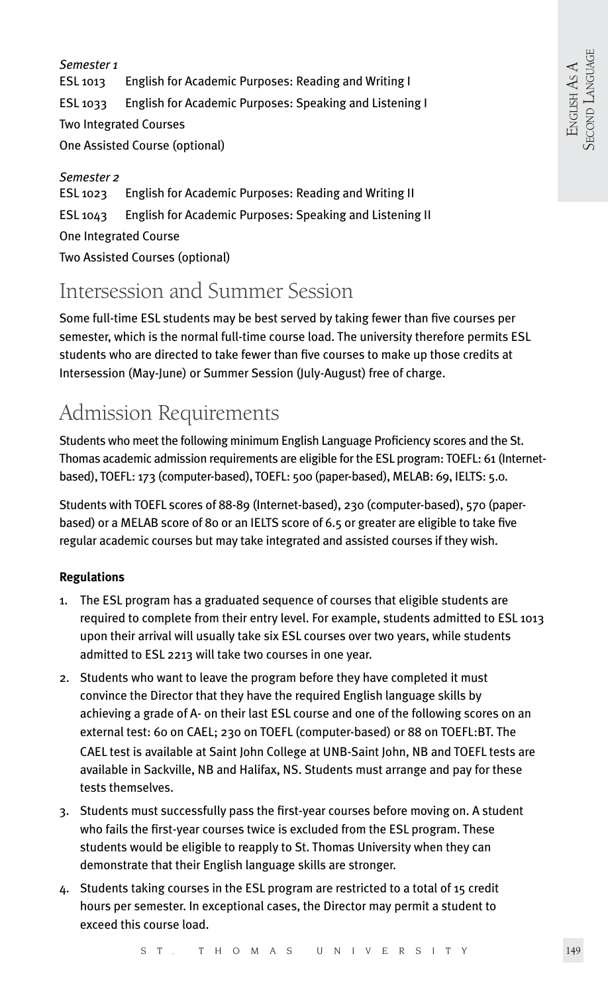*Semester 1*  ESL 1013 English for Academic Purposes: Reading and Writing I ESL 1033 English for Academic Purposes: Speaking and Listening I Two Integrated Courses One Assisted Course (optional)

*Semester 2*  ESL 1023 English for Academic Purposes: Reading and Writing II ESL 1043 English for Academic Purposes: Speaking and Listening II One Integrated Course Two Assisted Courses (optional)

### Intersession and Summer Session

Some full-time ESL students may be best served by taking fewer than five courses per semester, which is the normal full-time course load. The university therefore permits ESL students who are directed to take fewer than five courses to make up those credits at Intersession (May-June) or Summer Session (July-August) free of charge.

## Admission Requirements

Students who meet the following minimum English Language Proficiency scores and the St. Thomas academic admission requirements are eligible for the ESL program: TOEFL: 61 (Internetbased), TOEFL: 173 (computer-based), TOEFL: 500 (paper-based), MELAB: 69, IELTS: 5.0.

Students with TOEFL scores of 88-89 (Internet-based), 230 (computer-based), 570 (paperbased) or a MELAB score of 80 or an IELTS score of 6.5 or greater are eligible to take five regular academic courses but may take integrated and assisted courses if they wish.

#### **Regulations**

- 1. The ESL program has a graduated sequence of courses that eligible students are required to complete from their entry level. For example, students admitted to ESL 1013 upon their arrival will usually take six ESL courses over two years, while students admitted to ESL 2213 will take two courses in one year.
- 2. Students who want to leave the program before they have completed it must convince the Director that they have the required English language skills by achieving a grade of A- on their last ESL course and one of the following scores on an external test: 60 on CAEL; 230 on TOEFL (computer-based) or 88 on TOEFL:BT. The CAEL test is available at Saint John College at UNB-Saint John, NB and TOEFL tests are available in Sackville, NB and Halifax, NS. Students must arrange and pay for these tests themselves.
- 3. Students must successfully pass the first-year courses before moving on. A student who fails the first-year courses twice is excluded from the ESL program. These students would be eligible to reapply to St. Thomas University when they can demonstrate that their English language skills are stronger.
- 4. Students taking courses in the ESL program are restricted to a total of 15 credit hours per semester. In exceptional cases, the Director may permit a student to exceed this course load.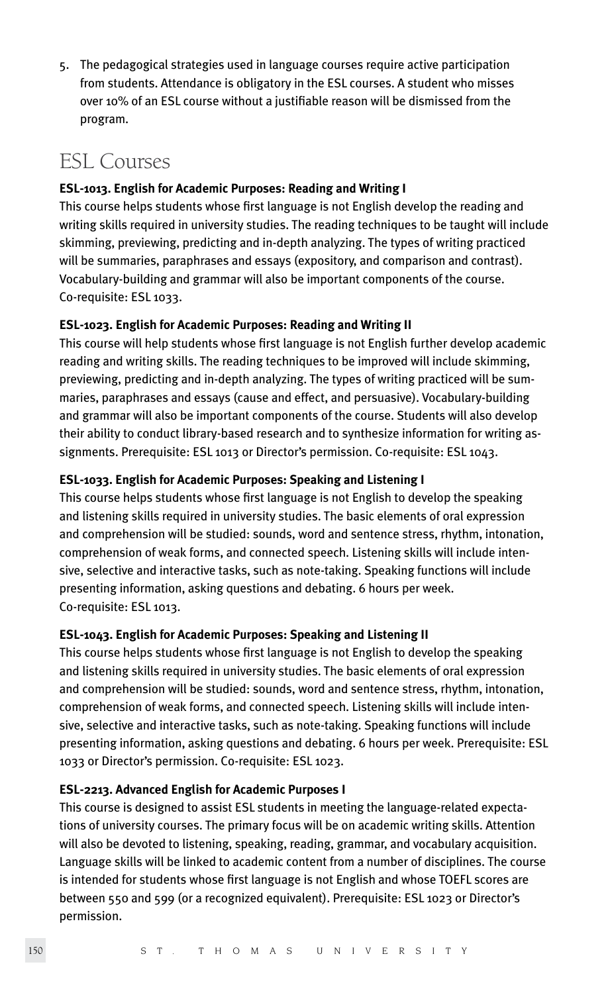5. The pedagogical strategies used in language courses require active participation from students. Attendance is obligatory in the ESL courses. A student who misses over 10% of an ESL course without a justifiable reason will be dismissed from the program.

### ESL Courses

#### **ESL-1013. English for Academic Purposes: Reading and Writing I**

This course helps students whose first language is not English develop the reading and writing skills required in university studies. The reading techniques to be taught will include skimming, previewing, predicting and in-depth analyzing. The types of writing practiced will be summaries, paraphrases and essays (expository, and comparison and contrast). Vocabulary-building and grammar will also be important components of the course. Co-requisite: ESL 1033.

#### **ESL-1023. English for Academic Purposes: Reading and Writing II**

This course will help students whose first language is not English further develop academic reading and writing skills. The reading techniques to be improved will include skimming, previewing, predicting and in-depth analyzing. The types of writing practiced will be summaries, paraphrases and essays (cause and effect, and persuasive). Vocabulary-building and grammar will also be important components of the course. Students will also develop their ability to conduct library-based research and to synthesize information for writing assignments. Prerequisite: ESL 1013 or Director's permission. Co-requisite: ESL 1043.

#### **ESL-1033. English for Academic Purposes: Speaking and Listening I**

This course helps students whose first language is not English to develop the speaking and listening skills required in university studies. The basic elements of oral expression and comprehension will be studied: sounds, word and sentence stress, rhythm, intonation, comprehension of weak forms, and connected speech. Listening skills will include intensive, selective and interactive tasks, such as note-taking. Speaking functions will include presenting information, asking questions and debating. 6 hours per week. Co-requisite: ESL 1013.

#### **ESL-1043. English for Academic Purposes: Speaking and Listening II**

This course helps students whose first language is not English to develop the speaking and listening skills required in university studies. The basic elements of oral expression and comprehension will be studied: sounds, word and sentence stress, rhythm, intonation, comprehension of weak forms, and connected speech. Listening skills will include intensive, selective and interactive tasks, such as note-taking. Speaking functions will include presenting information, asking questions and debating. 6 hours per week. Prerequisite: ESL 1033 or Director's permission. Co-requisite: ESL 1023.

#### **ESL-2213. Advanced English for Academic Purposes I**

This course is designed to assist ESL students in meeting the language-related expectations of university courses. The primary focus will be on academic writing skills. Attention will also be devoted to listening, speaking, reading, grammar, and vocabulary acquisition. Language skills will be linked to academic content from a number of disciplines. The course is intended for students whose first language is not English and whose TOEFL scores are between 550 and 599 (or a recognized equivalent). Prerequisite: ESL 1023 or Director's permission.